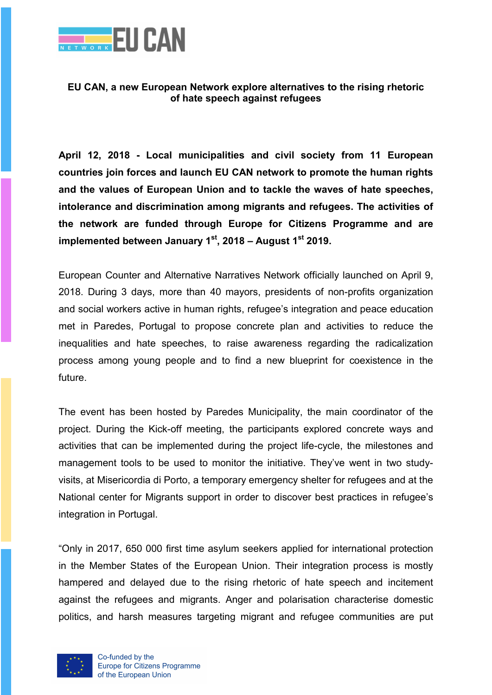

## EU CAN, a new European Network explore alternatives to the rising rhetoric of hate speech against refugees

April 12, 2018 - Local municipalities and civil society from 11 European countries join forces and launch EU CAN network to promote the human rights and the values of European Union and to tackle the waves of hate speeches, intolerance and discrimination among migrants and refugees. The activities of the network are funded through Europe for Citizens Programme and are implemented between January  $1<sup>st</sup>$ , 2018 – August  $1<sup>st</sup>$  2019.

European Counter and Alternative Narratives Network officially launched on April 9, 2018. During 3 days, more than 40 mayors, presidents of non-profits organization and social workers active in human rights, refugee's integration and peace education met in Paredes, Portugal to propose concrete plan and activities to reduce the inequalities and hate speeches, to raise awareness regarding the radicalization process among young people and to find a new blueprint for coexistence in the future.

The event has been hosted by Paredes Municipality, the main coordinator of the project. During the Kick-off meeting, the participants explored concrete ways and activities that can be implemented during the project life-cycle, the milestones and management tools to be used to monitor the initiative. They've went in two studyvisits, at Misericordia di Porto, a temporary emergency shelter for refugees and at the National center for Migrants support in order to discover best practices in refugee's integration in Portugal.

"Only in 2017, 650 000 first time asylum seekers applied for international protection in the Member States of the European Union. Their integration process is mostly hampered and delayed due to the rising rhetoric of hate speech and incitement against the refugees and migrants. Anger and polarisation characterise domestic politics, and harsh measures targeting migrant and refugee communities are put